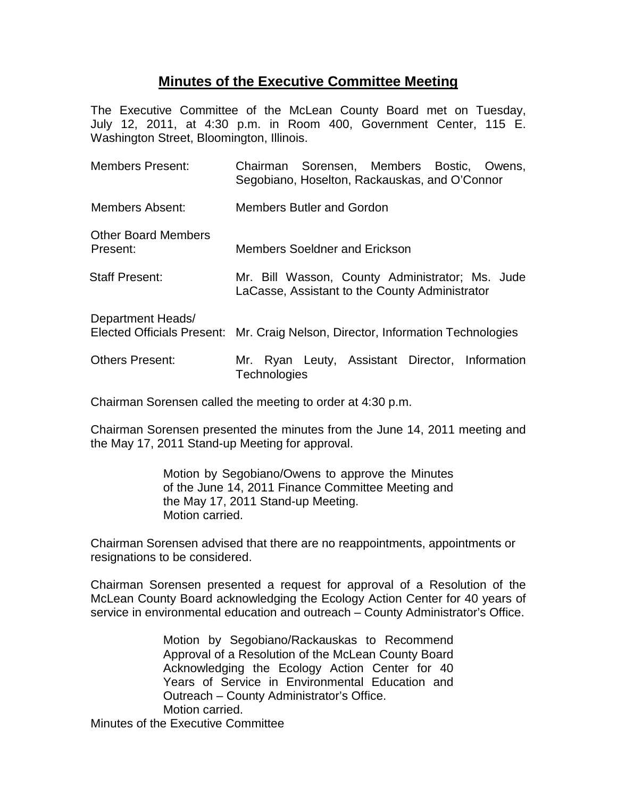## **Minutes of the Executive Committee Meeting**

The Executive Committee of the McLean County Board met on Tuesday, July 12, 2011, at 4:30 p.m. in Room 400, Government Center, 115 E. Washington Street, Bloomington, Illinois.

| <b>Members Present:</b>         | Chairman Sorensen, Members Bostic, Owens,<br>Segobiano, Hoselton, Rackauskas, and O'Connor        |
|---------------------------------|---------------------------------------------------------------------------------------------------|
| Members Absent:                 | <b>Members Butler and Gordon</b>                                                                  |
| Other Board Members<br>Present: | <b>Members Soeldner and Erickson</b>                                                              |
| <b>Staff Present:</b>           | Mr. Bill Wasson, County Administrator; Ms. Jude<br>LaCasse, Assistant to the County Administrator |
| Department Heads/               | Elected Officials Present: Mr. Craig Nelson, Director, Information Technologies                   |
| <b>Others Present:</b>          | Ryan Leuty, Assistant Director, Information<br>Mr.<br>Technologies                                |

Chairman Sorensen called the meeting to order at 4:30 p.m.

Chairman Sorensen presented the minutes from the June 14, 2011 meeting and the May 17, 2011 Stand-up Meeting for approval.

> Motion by Segobiano/Owens to approve the Minutes of the June 14, 2011 Finance Committee Meeting and the May 17, 2011 Stand-up Meeting. Motion carried.

Chairman Sorensen advised that there are no reappointments, appointments or resignations to be considered.

Chairman Sorensen presented a request for approval of a Resolution of the McLean County Board acknowledging the Ecology Action Center for 40 years of service in environmental education and outreach – County Administrator's Office.

> Motion by Segobiano/Rackauskas to Recommend Approval of a Resolution of the McLean County Board Acknowledging the Ecology Action Center for 40 Years of Service in Environmental Education and Outreach – County Administrator's Office. Motion carried.

Minutes of the Executive Committee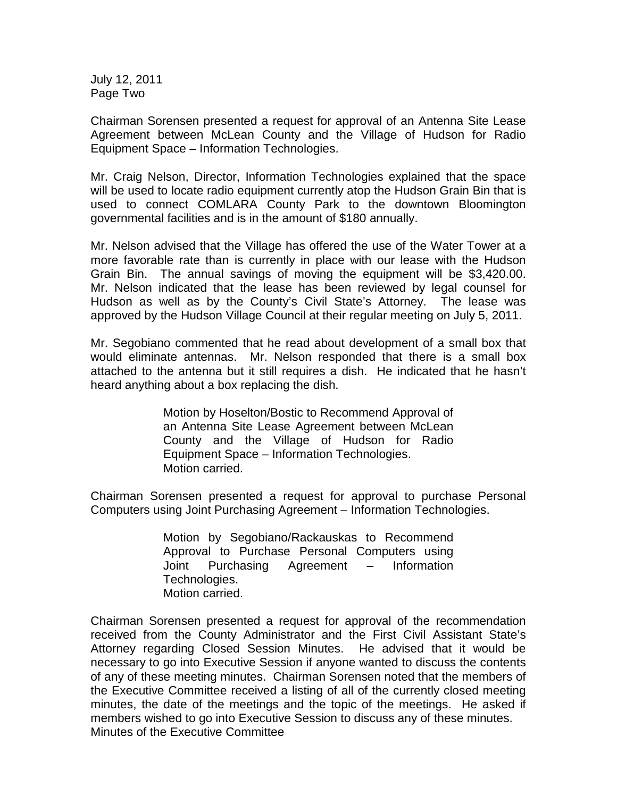July 12, 2011 Page Two

Chairman Sorensen presented a request for approval of an Antenna Site Lease Agreement between McLean County and the Village of Hudson for Radio Equipment Space – Information Technologies.

Mr. Craig Nelson, Director, Information Technologies explained that the space will be used to locate radio equipment currently atop the Hudson Grain Bin that is used to connect COMLARA County Park to the downtown Bloomington governmental facilities and is in the amount of \$180 annually.

Mr. Nelson advised that the Village has offered the use of the Water Tower at a more favorable rate than is currently in place with our lease with the Hudson Grain Bin. The annual savings of moving the equipment will be \$3,420.00. Mr. Nelson indicated that the lease has been reviewed by legal counsel for Hudson as well as by the County's Civil State's Attorney. The lease was approved by the Hudson Village Council at their regular meeting on July 5, 2011.

Mr. Segobiano commented that he read about development of a small box that would eliminate antennas. Mr. Nelson responded that there is a small box attached to the antenna but it still requires a dish. He indicated that he hasn't heard anything about a box replacing the dish.

> Motion by Hoselton/Bostic to Recommend Approval of an Antenna Site Lease Agreement between McLean County and the Village of Hudson for Radio Equipment Space – Information Technologies. Motion carried.

Chairman Sorensen presented a request for approval to purchase Personal Computers using Joint Purchasing Agreement – Information Technologies.

> Motion by Segobiano/Rackauskas to Recommend Approval to Purchase Personal Computers using Joint Purchasing Agreement – Information Technologies. Motion carried.

Chairman Sorensen presented a request for approval of the recommendation received from the County Administrator and the First Civil Assistant State's Attorney regarding Closed Session Minutes. He advised that it would be necessary to go into Executive Session if anyone wanted to discuss the contents of any of these meeting minutes. Chairman Sorensen noted that the members of the Executive Committee received a listing of all of the currently closed meeting minutes, the date of the meetings and the topic of the meetings. He asked if members wished to go into Executive Session to discuss any of these minutes. Minutes of the Executive Committee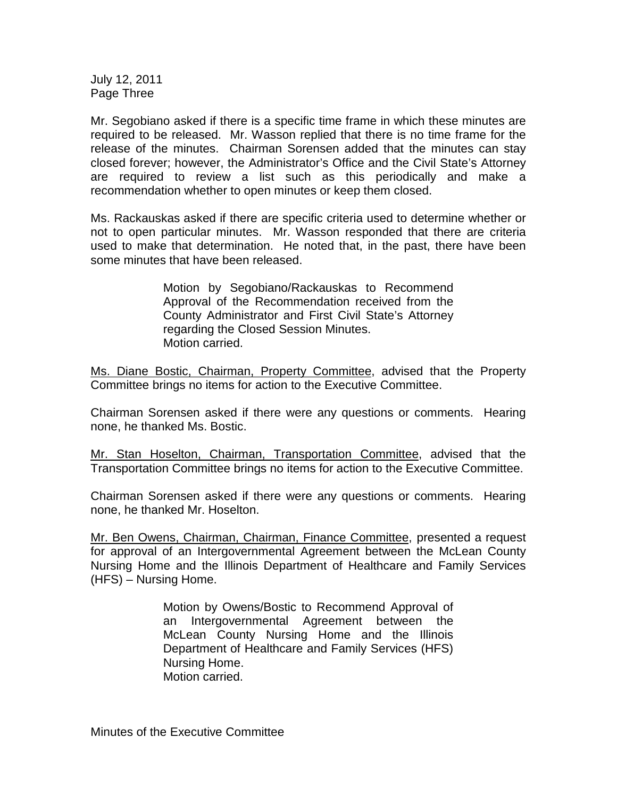July 12, 2011 Page Three

Mr. Segobiano asked if there is a specific time frame in which these minutes are required to be released. Mr. Wasson replied that there is no time frame for the release of the minutes. Chairman Sorensen added that the minutes can stay closed forever; however, the Administrator's Office and the Civil State's Attorney are required to review a list such as this periodically and make a recommendation whether to open minutes or keep them closed.

Ms. Rackauskas asked if there are specific criteria used to determine whether or not to open particular minutes. Mr. Wasson responded that there are criteria used to make that determination. He noted that, in the past, there have been some minutes that have been released.

> Motion by Segobiano/Rackauskas to Recommend Approval of the Recommendation received from the County Administrator and First Civil State's Attorney regarding the Closed Session Minutes. Motion carried.

Ms. Diane Bostic, Chairman, Property Committee, advised that the Property Committee brings no items for action to the Executive Committee.

Chairman Sorensen asked if there were any questions or comments. Hearing none, he thanked Ms. Bostic.

Mr. Stan Hoselton, Chairman, Transportation Committee, advised that the Transportation Committee brings no items for action to the Executive Committee.

Chairman Sorensen asked if there were any questions or comments. Hearing none, he thanked Mr. Hoselton.

Mr. Ben Owens, Chairman, Chairman, Finance Committee, presented a request for approval of an Intergovernmental Agreement between the McLean County Nursing Home and the Illinois Department of Healthcare and Family Services (HFS) – Nursing Home.

> Motion by Owens/Bostic to Recommend Approval of an Intergovernmental Agreement between the McLean County Nursing Home and the Illinois Department of Healthcare and Family Services (HFS) Nursing Home. Motion carried.

Minutes of the Executive Committee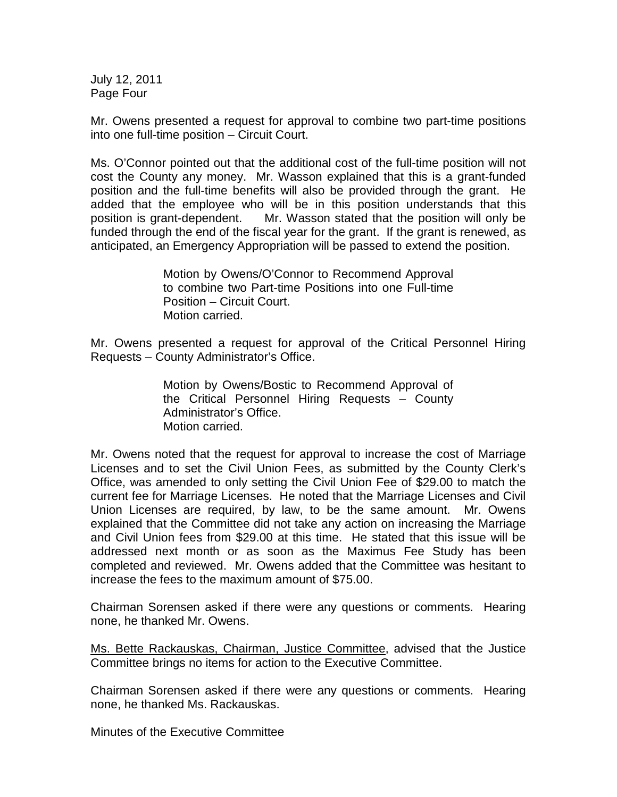July 12, 2011 Page Four

Mr. Owens presented a request for approval to combine two part-time positions into one full-time position – Circuit Court.

Ms. O'Connor pointed out that the additional cost of the full-time position will not cost the County any money. Mr. Wasson explained that this is a grant-funded position and the full-time benefits will also be provided through the grant. He added that the employee who will be in this position understands that this position is grant-dependent. Mr. Wasson stated that the position will only be funded through the end of the fiscal year for the grant. If the grant is renewed, as anticipated, an Emergency Appropriation will be passed to extend the position.

> Motion by Owens/O'Connor to Recommend Approval to combine two Part-time Positions into one Full-time Position – Circuit Court. Motion carried.

Mr. Owens presented a request for approval of the Critical Personnel Hiring Requests – County Administrator's Office.

> Motion by Owens/Bostic to Recommend Approval of the Critical Personnel Hiring Requests – County Administrator's Office. Motion carried.

Mr. Owens noted that the request for approval to increase the cost of Marriage Licenses and to set the Civil Union Fees, as submitted by the County Clerk's Office, was amended to only setting the Civil Union Fee of \$29.00 to match the current fee for Marriage Licenses. He noted that the Marriage Licenses and Civil Union Licenses are required, by law, to be the same amount. Mr. Owens explained that the Committee did not take any action on increasing the Marriage and Civil Union fees from \$29.00 at this time. He stated that this issue will be addressed next month or as soon as the Maximus Fee Study has been completed and reviewed. Mr. Owens added that the Committee was hesitant to increase the fees to the maximum amount of \$75.00.

Chairman Sorensen asked if there were any questions or comments. Hearing none, he thanked Mr. Owens.

Ms. Bette Rackauskas, Chairman, Justice Committee, advised that the Justice Committee brings no items for action to the Executive Committee.

Chairman Sorensen asked if there were any questions or comments. Hearing none, he thanked Ms. Rackauskas.

Minutes of the Executive Committee